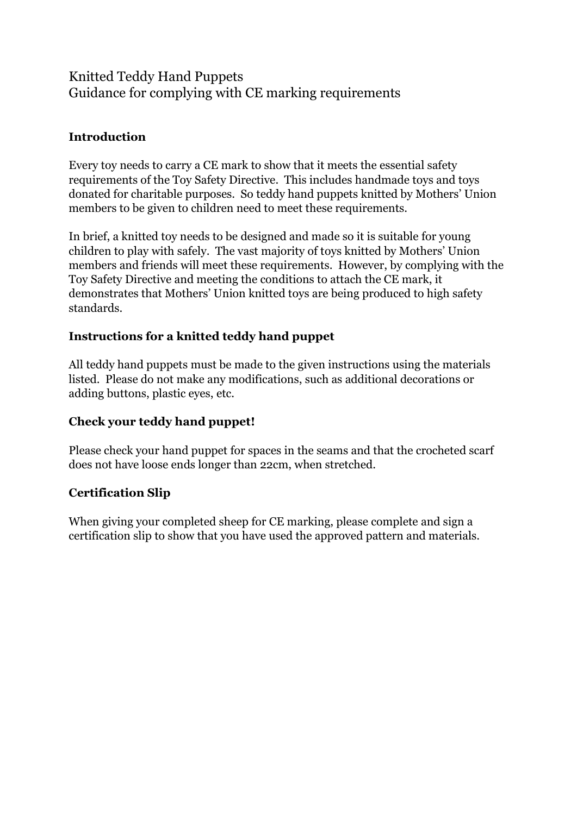# Knitted Teddy Hand Puppets Guidance for complying with CE marking requirements

## **Introduction**

Every toy needs to carry a CE mark to show that it meets the essential safety requirements of the Toy Safety Directive. This includes handmade toys and toys donated for charitable purposes. So teddy hand puppets knitted by Mothers' Union members to be given to children need to meet these requirements.

In brief, a knitted toy needs to be designed and made so it is suitable for young children to play with safely. The vast majority of toys knitted by Mothers' Union members and friends will meet these requirements. However, by complying with the Toy Safety Directive and meeting the conditions to attach the CE mark, it demonstrates that Mothers' Union knitted toys are being produced to high safety standards.

## **Instructions for a knitted teddy hand puppet**

All teddy hand puppets must be made to the given instructions using the materials listed. Please do not make any modifications, such as additional decorations or adding buttons, plastic eyes, etc.

## **Check your teddy hand puppet!**

Please check your hand puppet for spaces in the seams and that the crocheted scarf does not have loose ends longer than 22cm, when stretched.

### **Certification Slip**

When giving your completed sheep for CE marking, please complete and sign a certification slip to show that you have used the approved pattern and materials.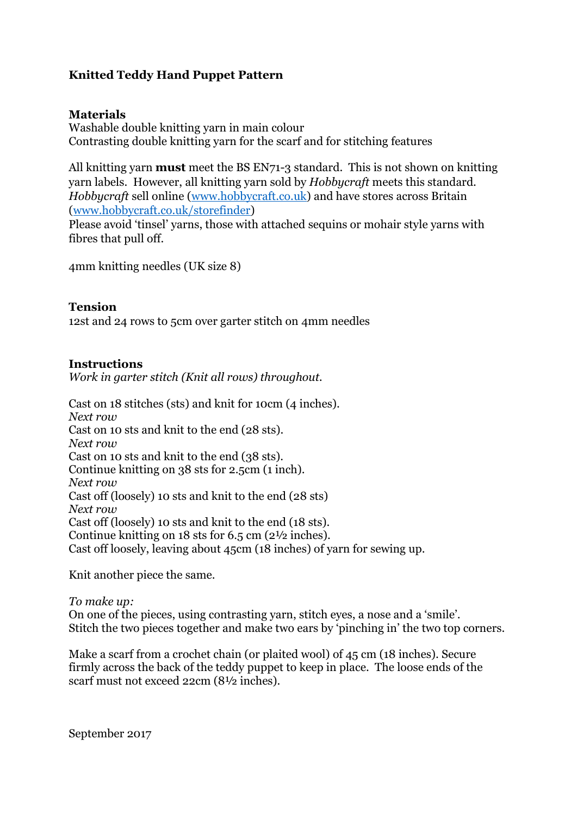## **Knitted Teddy Hand Puppet Pattern**

### **Materials**

Washable double knitting yarn in main colour Contrasting double knitting yarn for the scarf and for stitching features

All knitting yarn **must** meet the BS EN71-3 standard. This is not shown on knitting yarn labels. However, all knitting yarn sold by *Hobbycraft* meets this standard. *Hobbycraft* sell online [\(www.hobbycraft.co.uk\)](http://www.hobbycraft.co.uk/) and have stores across Britain [\(www.hobbycraft.co.uk/storefinder\)](http://www.hobbycraft.co.uk/storefinder)

Please avoid 'tinsel' yarns, those with attached sequins or mohair style yarns with fibres that pull off.

4mm knitting needles (UK size 8)

#### **Tension**

12st and 24 rows to 5cm over garter stitch on 4mm needles

### **Instructions**

*Work in garter stitch (Knit all rows) throughout.*

Cast on 18 stitches (sts) and knit for 10cm (4 inches). *Next row* Cast on 10 sts and knit to the end (28 sts). *Next row* Cast on 10 sts and knit to the end (38 sts). Continue knitting on 38 sts for 2.5cm (1 inch). *Next row* Cast off (loosely) 10 sts and knit to the end (28 sts) *Next row* Cast off (loosely) 10 sts and knit to the end (18 sts). Continue knitting on 18 sts for 6.5 cm (2½ inches). Cast off loosely, leaving about 45cm (18 inches) of yarn for sewing up.

Knit another piece the same.

*To make up:* On one of the pieces, using contrasting yarn, stitch eyes, a nose and a 'smile'. Stitch the two pieces together and make two ears by 'pinching in' the two top corners.

Make a scarf from a crochet chain (or plaited wool) of 45 cm (18 inches). Secure firmly across the back of the teddy puppet to keep in place. The loose ends of the scarf must not exceed 22cm (8½ inches).

September 2017